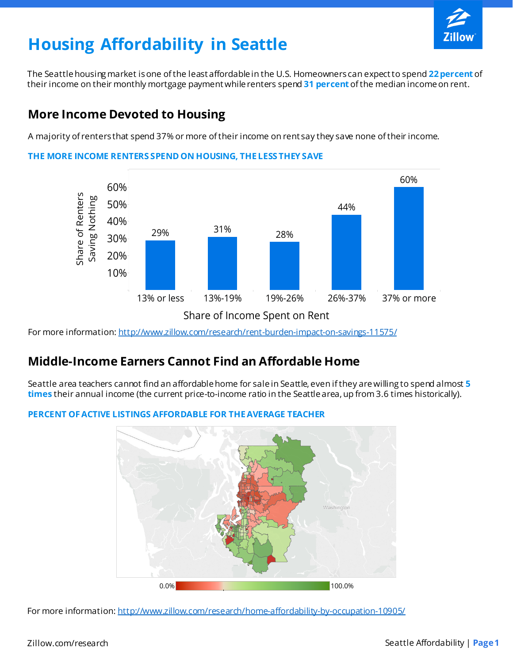

# **Housing Affordability in Seattle**

The Seattle housing market is one of the least affordable in the U.S. Homeowners can expect to spend **22 percent** of their income on their monthly mortgage payment while renters spend **31 percent** of the median income on rent.

### **More Income Devoted to Housing**

A majority of renters that spend 37% or more of their income on rent say they save none of their income.



**THE MORE INCOME RENTERS SPEND ON HOUSING, THE LESS THEY SAVE**

For more information: http://www.zillow.com/research/rent-burden-impact-on-savings-11575/

# **Middle-Income Earners Cannot Find an Affordable Home**

Seattle area teachers cannot find an affordable home for sale in Seattle, even if they are willing to spend almost **5 times** their annual income (the current price-to-income ratio in the Seattle area, up from 3.6 times historically).

#### **PERCENT OF ACTIVE LISTINGS AFFORDABLE FOR THE AVERAGE TEACHER**



For more information: http://www.zillow.com/research/home-affordability-by-occupation-10905/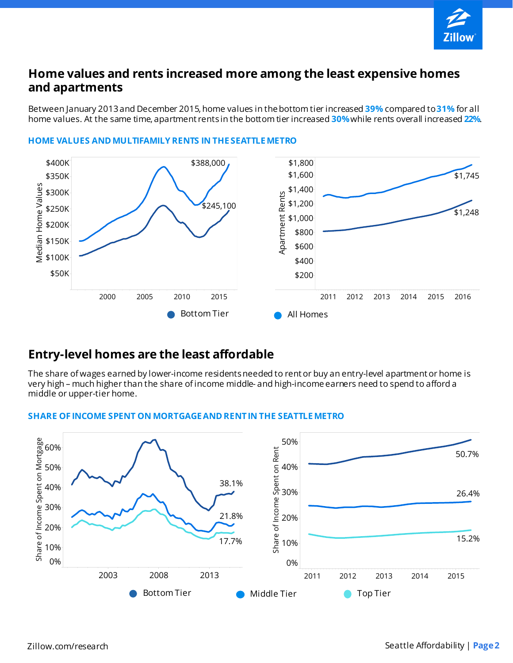

### **Home values and rents increased more among the least expensive homes and apartments**

Between January 2013 and December 2015, home values in the bottom tier increased **39%** compared to **31%** for all home values. At the same time, apartment rents in the bottom tier increased **30%**while rents overall increased **22%**.



#### **HOME VALUES AND MULTIFAMILY RENTS IN THE SEATTLE METRO**

### **Entry-level homes are the least affordable**

The share of wages earned by lower-income residents needed to rent or buy an entry-level apartment or home is very high – much higher than the share of income middle- and high-income earners need to spend to afford a middle or upper-tier home.



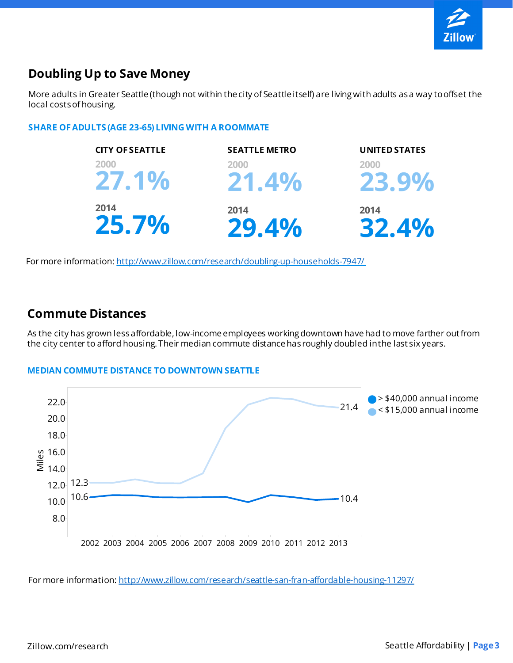

# **Doubling Up to Save Money**

More adults in Greater Seattle (though not within the city of Seattle itself) are living with adults as a way to offset the local costs of housing.

#### **SHARE OF ADULTS (AGE 23-65) LIVING WITH A ROOMMATE**



For more information: http://www.zillow.com/research/doubling-up-households-7947/

#### **Commute Distances**

As the city has grown less affordable, low-income employees working downtown have had to move farther out from the city center to afford housing. Their median commute distance has roughly doubled in the last six years.

#### **MEDIAN COMMUTE DISTANCE TO DOWNTOWN SEATTLE**



For more information: http://www.zillow.com/research/seattle-san-fran-affordable-housing-11297/